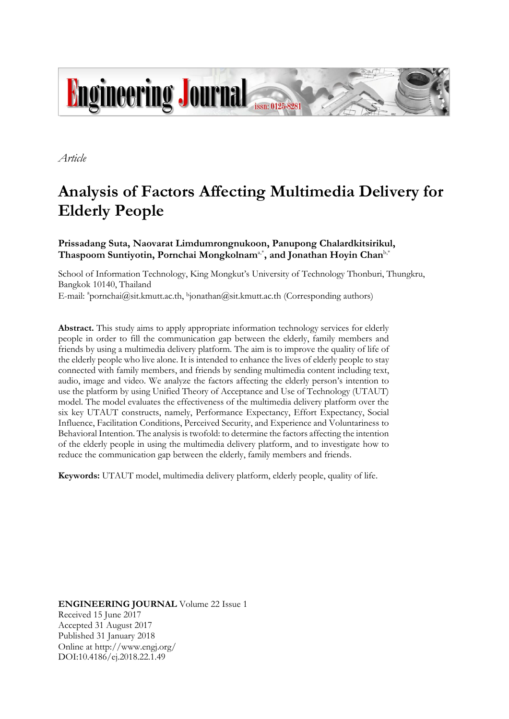

*Article*

# **Analysis of Factors Affecting Multimedia Delivery for Elderly People**

## **Prissadang Suta, Naovarat Limdumrongnukoon, Panupong Chalardkitsirikul,**  $\mathbf{T}$ haspoom Suntiyotin, Pornchai Mongkolnam<sup>a,\*</sup>, and Jonathan Hoyin Chan<sup>b,\*</sup>

School of Information Technology, King Mongkut's University of Technology Thonburi, Thungkru, Bangkok 10140, Thailand E-mail: <sup>a</sup>pornchai@sit.kmutt.ac.th, <sup>b</sup>jonathan@sit.kmutt.ac.th (Corresponding authors)

**Abstract.** This study aims to apply appropriate information technology services for elderly people in order to fill the communication gap between the elderly, family members and friends by using a multimedia delivery platform. The aim is to improve the quality of life of the elderly people who live alone. It is intended to enhance the lives of elderly people to stay connected with family members, and friends by sending multimedia content including text, audio, image and video. We analyze the factors affecting the elderly person's intention to use the platform by using Unified Theory of Acceptance and Use of Technology (UTAUT) model. The model evaluates the effectiveness of the multimedia delivery platform over the six key UTAUT constructs, namely, Performance Expectancy, Effort Expectancy, Social Influence, Facilitation Conditions, Perceived Security, and Experience and Voluntariness to Behavioral Intention. The analysis is twofold: to determine the factors affecting the intention of the elderly people in using the multimedia delivery platform, and to investigate how to reduce the communication gap between the elderly, family members and friends.

**Keywords:** UTAUT model, multimedia delivery platform, elderly people, quality of life.

**ENGINEERING JOURNAL** Volume 22 Issue 1 Received 15 June 2017 Accepted 31 August 2017 Published 31 January 2018 Online at http://www.engj.org/ DOI:10.4186/ej.2018.22.1.49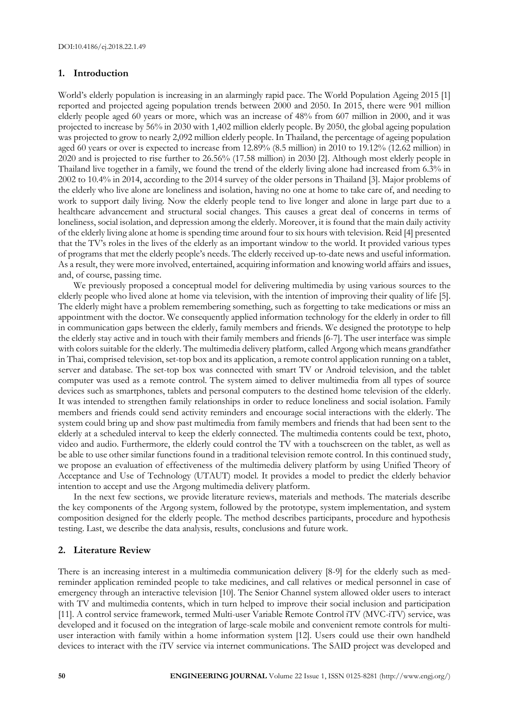## **1. Introduction**

World's elderly population is increasing in an alarmingly rapid pace. The World Population Ageing 2015 [1] reported and projected ageing population trends between 2000 and 2050. In 2015, there were 901 million elderly people aged 60 years or more, which was an increase of 48% from 607 million in 2000, and it was projected to increase by 56% in 2030 with 1,402 million elderly people. By 2050, the global ageing population was projected to grow to nearly 2,092 million elderly people. In Thailand, the percentage of ageing population aged 60 years or over is expected to increase from 12.89% (8.5 million) in 2010 to 19.12% (12.62 million) in 2020 and is projected to rise further to 26.56% (17.58 million) in 2030 [2]. Although most elderly people in Thailand live together in a family, we found the trend of the elderly living alone had increased from 6.3% in 2002 to 10.4% in 2014, according to the 2014 survey of the older persons in Thailand [3]. Major problems of the elderly who live alone are loneliness and isolation, having no one at home to take care of, and needing to work to support daily living. Now the elderly people tend to live longer and alone in large part due to a healthcare advancement and structural social changes. This causes a great deal of concerns in terms of loneliness, social isolation, and depression among the elderly. Moreover, it is found that the main daily activity of the elderly living alone at home is spending time around four to six hours with television. Reid [4] presented that the TV's roles in the lives of the elderly as an important window to the world. It provided various types of programs that met the elderly people's needs. The elderly received up-to-date news and useful information. As a result, they were more involved, entertained, acquiring information and knowing world affairs and issues, and, of course, passing time.

We previously proposed a conceptual model for delivering multimedia by using various sources to the elderly people who lived alone at home via television, with the intention of improving their quality of life [5]. The elderly might have a problem remembering something, such as forgetting to take medications or miss an appointment with the doctor. We consequently applied information technology for the elderly in order to fill in communication gaps between the elderly, family members and friends. We designed the prototype to help the elderly stay active and in touch with their family members and friends [6-7]. The user interface was simple with colors suitable for the elderly. The multimedia delivery platform, called Argong which means grandfather in Thai, comprised television, set-top box and its application, a remote control application running on a tablet, server and database. The set-top box was connected with smart TV or Android television, and the tablet computer was used as a remote control. The system aimed to deliver multimedia from all types of source devices such as smartphones, tablets and personal computers to the destined home television of the elderly. It was intended to strengthen family relationships in order to reduce loneliness and social isolation. Family members and friends could send activity reminders and encourage social interactions with the elderly. The system could bring up and show past multimedia from family members and friends that had been sent to the elderly at a scheduled interval to keep the elderly connected. The multimedia contents could be text, photo, video and audio. Furthermore, the elderly could control the TV with a touchscreen on the tablet, as well as be able to use other similar functions found in a traditional television remote control. In this continued study, we propose an evaluation of effectiveness of the multimedia delivery platform by using Unified Theory of Acceptance and Use of Technology (UTAUT) model. It provides a model to predict the elderly behavior intention to accept and use the Argong multimedia delivery platform.

In the next few sections, we provide literature reviews, materials and methods. The materials describe the key components of the Argong system, followed by the prototype, system implementation, and system composition designed for the elderly people. The method describes participants, procedure and hypothesis testing. Last, we describe the data analysis, results, conclusions and future work.

## **2. Literature Review**

There is an increasing interest in a multimedia communication delivery [8-9] for the elderly such as medreminder application reminded people to take medicines, and call relatives or medical personnel in case of emergency through an interactive television [10]. The Senior Channel system allowed older users to interact with TV and multimedia contents, which in turn helped to improve their social inclusion and participation [11]. A control service framework, termed Multi-user Variable Remote Control iTV (MVC-iTV) service, was developed and it focused on the integration of large-scale mobile and convenient remote controls for multiuser interaction with family within a home information system [12]. Users could use their own handheld devices to interact with the iTV service via internet communications. The SAID project was developed and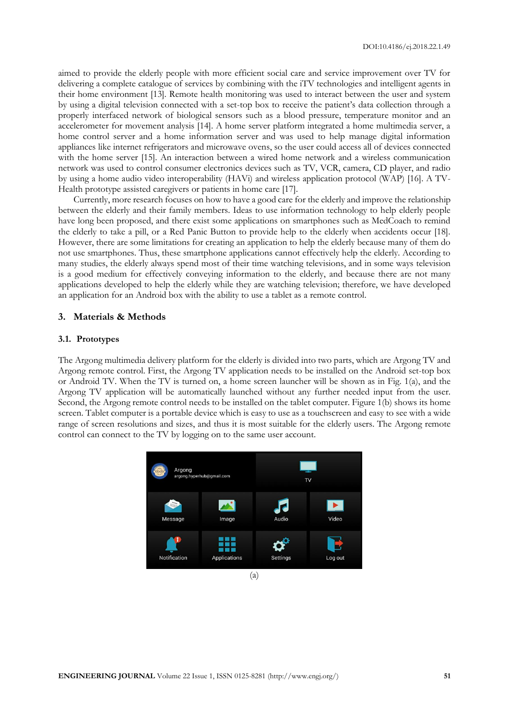aimed to provide the elderly people with more efficient social care and service improvement over TV for delivering a complete catalogue of services by combining with the iTV technologies and intelligent agents in their home environment [13]. Remote health monitoring was used to interact between the user and system by using a digital television connected with a set-top box to receive the patient's data collection through a properly interfaced network of biological sensors such as a blood pressure, temperature monitor and an accelerometer for movement analysis [14]. A home server platform integrated a home multimedia server, a home control server and a home information server and was used to help manage digital information appliances like internet refrigerators and microwave ovens, so the user could access all of devices connected with the home server [15]. An interaction between a wired home network and a wireless communication network was used to control consumer electronics devices such as TV, VCR, camera, CD player, and radio by using a home audio video interoperability (HAVi) and wireless application protocol (WAP) [16]. A TV-Health prototype assisted caregivers or patients in home care [17].

Currently, more research focuses on how to have a good care for the elderly and improve the relationship between the elderly and their family members. Ideas to use information technology to help elderly people have long been proposed, and there exist some applications on smartphones such as MedCoach to remind the elderly to take a pill, or a Red Panic Button to provide help to the elderly when accidents occur [18]. However, there are some limitations for creating an application to help the elderly because many of them do not use smartphones. Thus, these smartphone applications cannot effectively help the elderly. According to many studies, the elderly always spend most of their time watching televisions, and in some ways television is a good medium for effectively conveying information to the elderly, and because there are not many applications developed to help the elderly while they are watching television; therefore, we have developed an application for an Android box with the ability to use a tablet as a remote control.

## **3. Materials & Methods**

#### **3.1. Prototypes**

The Argong multimedia delivery platform for the elderly is divided into two parts, which are Argong TV and Argong remote control. First, the Argong TV application needs to be installed on the Android set-top box or Android TV. When the TV is turned on, a home screen launcher will be shown as in Fig. 1(a), and the Argong TV application will be automatically launched without any further needed input from the user. Second, the Argong remote control needs to be installed on the tablet computer. Figure 1(b) shows its home screen. Tablet computer is a portable device which is easy to use as a touchscreen and easy to see with a wide range of screen resolutions and sizes, and thus it is most suitable for the elderly users. The Argong remote control can connect to the TV by logging on to the same user account.



(a)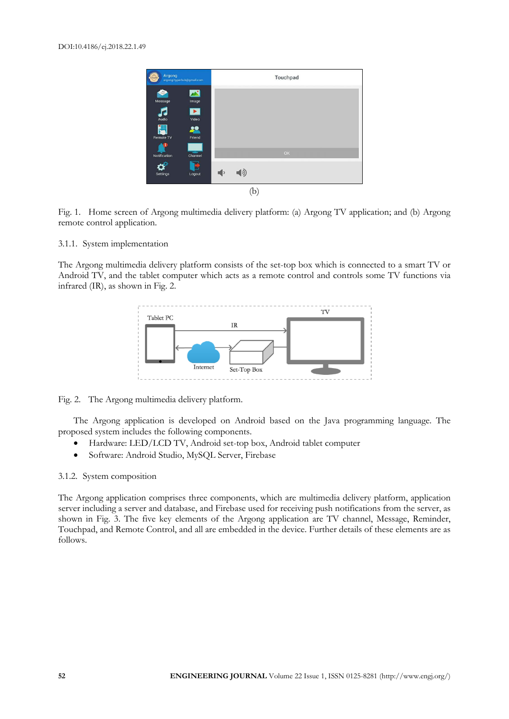| Argong<br>argong.hyperhub@gmail.com |                                |                 | Touchpad |  |
|-------------------------------------|--------------------------------|-----------------|----------|--|
| Message                             | Image                          |                 |          |  |
| Audio                               | $\blacktriangleright$<br>Video |                 |          |  |
| <b>Remote TV</b>                    | Friend                         |                 | OK       |  |
| <b>Notification</b><br>Settings     | Channel<br>Logout              | $\blacklozenge$ |          |  |
|                                     |                                | D               |          |  |

Fig. 1. Home screen of Argong multimedia delivery platform: (a) Argong TV application; and (b) Argong remote control application.

#### 3.1.1. System implementation

The Argong multimedia delivery platform consists of the set-top box which is connected to a smart TV or Android TV, and the tablet computer which acts as a remote control and controls some TV functions via infrared (IR), as shown in Fig. 2.



Fig. 2. The Argong multimedia delivery platform.

The Argong application is developed on Android based on the Java programming language. The proposed system includes the following components.

- Hardware: LED/LCD TV, Android set-top box, Android tablet computer
- Software: Android Studio, MySQL Server, Firebase

## 3.1.2. System composition

The Argong application comprises three components, which are multimedia delivery platform, application server including a server and database, and Firebase used for receiving push notifications from the server, as shown in Fig. 3. The five key elements of the Argong application are TV channel, Message, Reminder, Touchpad, and Remote Control, and all are embedded in the device. Further details of these elements are as follows.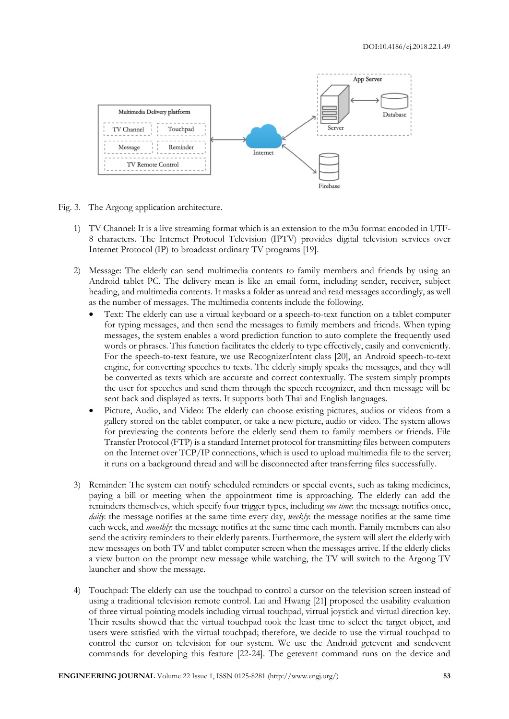

Fig. 3. The Argong application architecture.

- 1) TV Channel: It is a live streaming format which is an extension to the m3u format encoded in UTF-8 characters. The Internet Protocol Television (IPTV) provides digital television services over Internet Protocol (IP) to broadcast ordinary TV programs [19].
- 2) Message: The elderly can send multimedia contents to family members and friends by using an Android tablet PC. The delivery mean is like an email form, including sender, receiver, subject heading, and multimedia contents. It masks a folder as unread and read messages accordingly, as well as the number of messages. The multimedia contents include the following.
	- Text: The elderly can use a virtual keyboard or a speech-to-text function on a tablet computer for typing messages, and then send the messages to family members and friends. When typing messages, the system enables a word prediction function to auto complete the frequently used words or phrases. This function facilitates the elderly to type effectively, easily and conveniently. For the speech-to-text feature, we use RecognizerIntent class [20], an Android speech-to-text engine, for converting speeches to texts. The elderly simply speaks the messages, and they will be converted as texts which are accurate and correct contextually. The system simply prompts the user for speeches and send them through the speech recognizer, and then message will be sent back and displayed as texts. It supports both Thai and English languages.
	- Picture, Audio, and Video: The elderly can choose existing pictures, audios or videos from a gallery stored on the tablet computer, or take a new picture, audio or video. The system allows for previewing the contents before the elderly send them to family members or friends. File Transfer Protocol (FTP) is a standard Internet protocol for transmitting files between computers on the Internet over TCP/IP connections, which is used to upload multimedia file to the server; it runs on a background thread and will be disconnected after transferring files successfully.
- 3) Reminder: The system can notify scheduled reminders or special events, such as taking medicines, paying a bill or meeting when the appointment time is approaching. The elderly can add the reminders themselves, which specify four trigger types, including *one time*: the message notifies once, *daily*: the message notifies at the same time every day, *weekly*: the message notifies at the same time each week, and *monthly*: the message notifies at the same time each month. Family members can also send the activity reminders to their elderly parents. Furthermore, the system will alert the elderly with new messages on both TV and tablet computer screen when the messages arrive. If the elderly clicks a view button on the prompt new message while watching, the TV will switch to the Argong TV launcher and show the message.
- 4) Touchpad: The elderly can use the touchpad to control a cursor on the television screen instead of using a traditional television remote control. Lai and Hwang [21] proposed the usability evaluation of three virtual pointing models including virtual touchpad, virtual joystick and virtual direction key. Their results showed that the virtual touchpad took the least time to select the target object, and users were satisfied with the virtual touchpad; therefore, we decide to use the virtual touchpad to control the cursor on television for our system. We use the Android getevent and sendevent commands for developing this feature [22-24]. The getevent command runs on the device and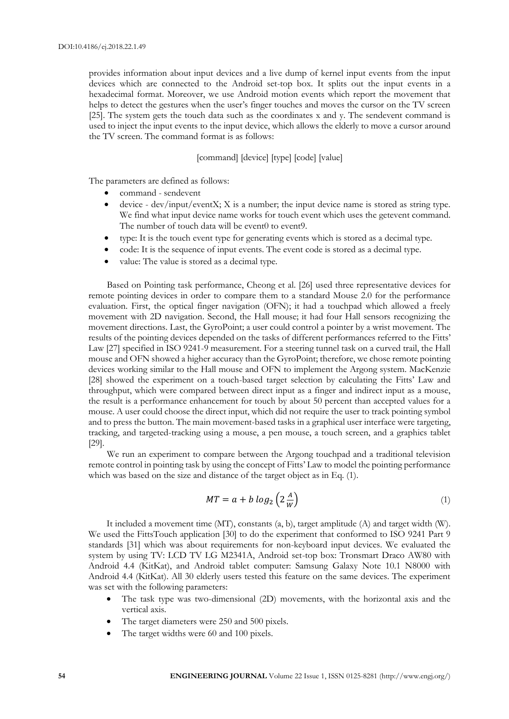provides information about input devices and a live dump of kernel input events from the input devices which are connected to the Android set-top box. It splits out the input events in a hexadecimal format. Moreover, we use Android motion events which report the movement that helps to detect the gestures when the user's finger touches and moves the cursor on the TV screen [25]. The system gets the touch data such as the coordinates x and y. The sendevent command is used to inject the input events to the input device, which allows the elderly to move a cursor around the TV screen. The command format is as follows:

## [command] [device] [type] [code] [value]

The parameters are defined as follows:

- command sendevent
- device dev/input/eventX; X is a number; the input device name is stored as string type. We find what input device name works for touch event which uses the getevent command. The number of touch data will be event0 to event9.
- type: It is the touch event type for generating events which is stored as a decimal type.
- code: It is the sequence of input events. The event code is stored as a decimal type.
- value: The value is stored as a decimal type.

Based on Pointing task performance, Cheong et al. [26] used three representative devices for remote pointing devices in order to compare them to a standard Mouse 2.0 for the performance evaluation. First, the optical finger navigation (OFN); it had a touchpad which allowed a freely movement with 2D navigation. Second, the Hall mouse; it had four Hall sensors recognizing the movement directions. Last, the GyroPoint; a user could control a pointer by a wrist movement. The results of the pointing devices depended on the tasks of different performances referred to the Fitts' Law [27] specified in ISO 9241-9 measurement. For a steering tunnel task on a curved trail, the Hall mouse and OFN showed a higher accuracy than the GyroPoint; therefore, we chose remote pointing devices working similar to the Hall mouse and OFN to implement the Argong system. MacKenzie [28] showed the experiment on a touch-based target selection by calculating the Fitts' Law and throughput, which were compared between direct input as a finger and indirect input as a mouse, the result is a performance enhancement for touch by about 50 percent than accepted values for a mouse. A user could choose the direct input, which did not require the user to track pointing symbol and to press the button. The main movement-based tasks in a graphical user interface were targeting, tracking, and targeted-tracking using a mouse, a pen mouse, a touch screen, and a graphics tablet [29].

We run an experiment to compare between the Argong touchpad and a traditional television remote control in pointing task by using the concept of Fitts' Law to model the pointing performance which was based on the size and distance of the target object as in Eq. (1).

$$
MT = a + b \log_2 \left( 2 \frac{A}{W} \right) \tag{1}
$$

It included a movement time (MT), constants (a, b), target amplitude (A) and target width (W). We used the FittsTouch application [30] to do the experiment that conformed to ISO 9241 Part 9 standards [31] which was about requirements for non-keyboard input devices. We evaluated the system by using TV: LCD TV LG M2341A, Android set-top box: Tronsmart Draco AW80 with Android 4.4 (KitKat), and Android tablet computer: Samsung Galaxy Note 10.1 N8000 with Android 4.4 (KitKat). All 30 elderly users tested this feature on the same devices. The experiment was set with the following parameters:

- The task type was two-dimensional (2D) movements, with the horizontal axis and the vertical axis.
- The target diameters were 250 and 500 pixels.
- The target widths were 60 and 100 pixels.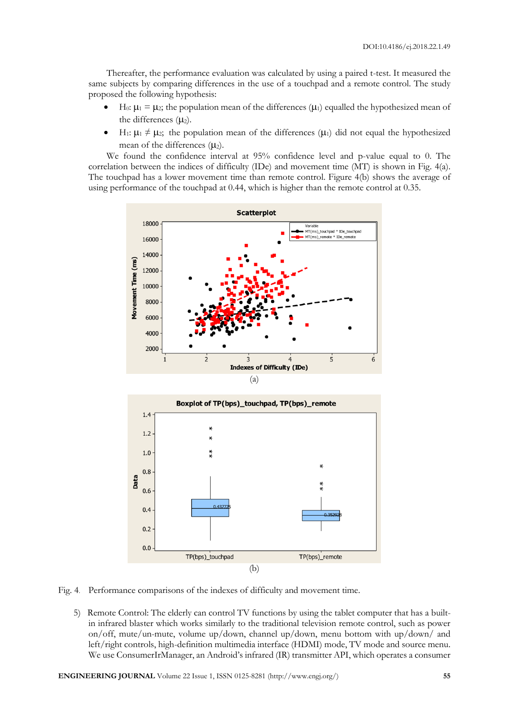Thereafter, the performance evaluation was calculated by using a paired t-test. It measured the same subjects by comparing differences in the use of a touchpad and a remote control. The study proposed the following hypothesis:

- H<sub>0</sub>:  $\mu_1 = \mu_2$ ; the population mean of the differences ( $\mu_1$ ) equalled the hypothesized mean of the differences  $(µ_2)$ .
- H<sub>1</sub>:  $\mu_1 \neq \mu_2$ ; the population mean of the differences ( $\mu_1$ ) did not equal the hypothesized mean of the differences  $(\mu_2)$ .

We found the confidence interval at 95% confidence level and p-value equal to 0. The correlation between the indices of difficulty (IDe) and movement time (MT) is shown in Fig. 4(a). The touchpad has a lower movement time than remote control. Figure 4(b) shows the average of using performance of the touchpad at 0.44, which is higher than the remote control at 0.35.





Fig. 4. Performance comparisons of the indexes of difficulty and movement time.

5) Remote Control: The elderly can control TV functions by using the tablet computer that has a builtin infrared blaster which works similarly to the traditional television remote control, such as power on/off, mute/un-mute, volume up/down, channel up/down, menu bottom with up/down/ and left/right controls, high-definition multimedia interface (HDMI) mode, TV mode and source menu. We use ConsumerIrManager, an Android's infrared (IR) transmitter API, which operates a consumer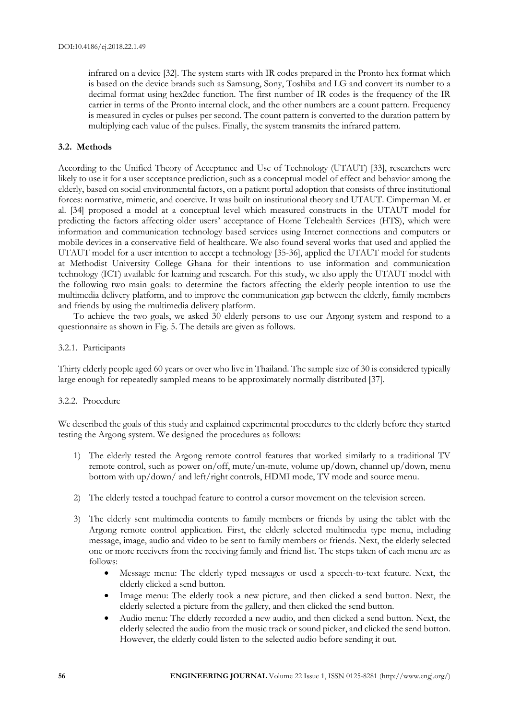infrared on a device [32]. The system starts with IR codes prepared in the Pronto hex format which is based on the device brands such as Samsung, Sony, Toshiba and LG and convert its number to a decimal format using hex2dec function. The first number of IR codes is the frequency of the IR carrier in terms of the Pronto internal clock, and the other numbers are a count pattern. Frequency is measured in cycles or pulses per second. The count pattern is converted to the duration pattern by multiplying each value of the pulses. Finally, the system transmits the infrared pattern.

## **3.2. Methods**

According to the Unified Theory of Acceptance and Use of Technology (UTAUT) [33], researchers were likely to use it for a user acceptance prediction, such as a conceptual model of effect and behavior among the elderly, based on social environmental factors, on a patient portal adoption that consists of three institutional forces: normative, mimetic, and coercive. It was built on institutional theory and UTAUT. Cimperman M. et al. [34] proposed a model at a conceptual level which measured constructs in the UTAUT model for predicting the factors affecting older users' acceptance of Home Telehealth Services (HTS), which were information and communication technology based services using Internet connections and computers or mobile devices in a conservative field of healthcare. We also found several works that used and applied the UTAUT model for a user intention to accept a technology [35-36], applied the UTAUT model for students at Methodist University College Ghana for their intentions to use information and communication technology (ICT) available for learning and research. For this study, we also apply the UTAUT model with the following two main goals: to determine the factors affecting the elderly people intention to use the multimedia delivery platform, and to improve the communication gap between the elderly, family members and friends by using the multimedia delivery platform.

To achieve the two goals, we asked 30 elderly persons to use our Argong system and respond to a questionnaire as shown in Fig. 5. The details are given as follows.

## 3.2.1. Participants

Thirty elderly people aged 60 years or over who live in Thailand. The sample size of 30 is considered typically large enough for repeatedly sampled means to be approximately normally distributed [37].

## 3.2.2. Procedure

We described the goals of this study and explained experimental procedures to the elderly before they started testing the Argong system. We designed the procedures as follows:

- 1) The elderly tested the Argong remote control features that worked similarly to a traditional TV remote control, such as power on/off, mute/un-mute, volume up/down, channel up/down, menu bottom with up/down/ and left/right controls, HDMI mode, TV mode and source menu.
- 2) The elderly tested a touchpad feature to control a cursor movement on the television screen.
- 3) The elderly sent multimedia contents to family members or friends by using the tablet with the Argong remote control application. First, the elderly selected multimedia type menu, including message, image, audio and video to be sent to family members or friends. Next, the elderly selected one or more receivers from the receiving family and friend list. The steps taken of each menu are as follows:
	- Message menu: The elderly typed messages or used a speech-to-text feature. Next, the elderly clicked a send button.
	- Image menu: The elderly took a new picture, and then clicked a send button. Next, the elderly selected a picture from the gallery, and then clicked the send button.
	- Audio menu: The elderly recorded a new audio, and then clicked a send button. Next, the elderly selected the audio from the music track or sound picker, and clicked the send button. However, the elderly could listen to the selected audio before sending it out.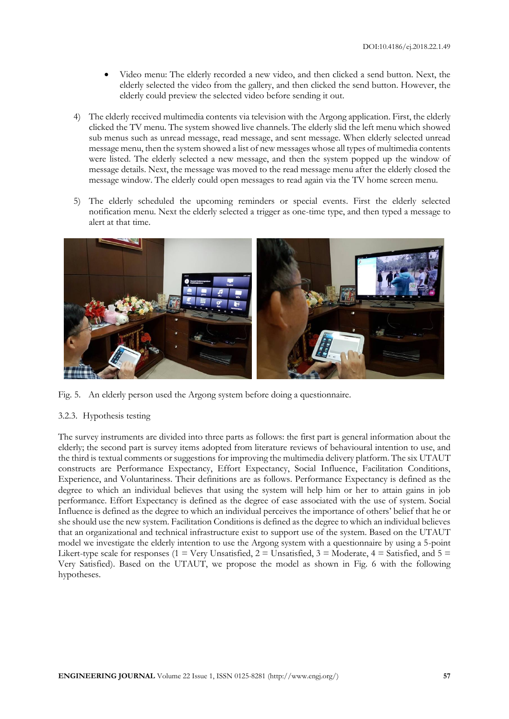- Video menu: The elderly recorded a new video, and then clicked a send button. Next, the elderly selected the video from the gallery, and then clicked the send button. However, the elderly could preview the selected video before sending it out.
- 4) The elderly received multimedia contents via television with the Argong application. First, the elderly clicked the TV menu. The system showed live channels. The elderly slid the left menu which showed sub menus such as unread message, read message, and sent message. When elderly selected unread message menu, then the system showed a list of new messages whose all types of multimedia contents were listed. The elderly selected a new message, and then the system popped up the window of message details. Next, the message was moved to the read message menu after the elderly closed the message window. The elderly could open messages to read again via the TV home screen menu.
- 5) The elderly scheduled the upcoming reminders or special events. First the elderly selected notification menu. Next the elderly selected a trigger as one-time type, and then typed a message to alert at that time.



Fig. 5. An elderly person used the Argong system before doing a questionnaire.

## 3.2.3. Hypothesis testing

The survey instruments are divided into three parts as follows: the first part is general information about the elderly; the second part is survey items adopted from literature reviews of behavioural intention to use, and the third is textual comments or suggestions for improving the multimedia delivery platform. The six UTAUT constructs are Performance Expectancy, Effort Expectancy, Social Influence, Facilitation Conditions, Experience, and Voluntariness. Their definitions are as follows. Performance Expectancy is defined as the degree to which an individual believes that using the system will help him or her to attain gains in job performance. Effort Expectancy is defined as the degree of ease associated with the use of system. Social Influence is defined as the degree to which an individual perceives the importance of others' belief that he or she should use the new system. Facilitation Conditions is defined as the degree to which an individual believes that an organizational and technical infrastructure exist to support use of the system. Based on the UTAUT model we investigate the elderly intention to use the Argong system with a questionnaire by using a 5-point Likert-type scale for responses (1 = Very Unsatisfied, 2 = Unsatisfied, 3 = Moderate, 4 = Satisfied, and 5 = Very Satisfied). Based on the UTAUT, we propose the model as shown in Fig. 6 with the following hypotheses.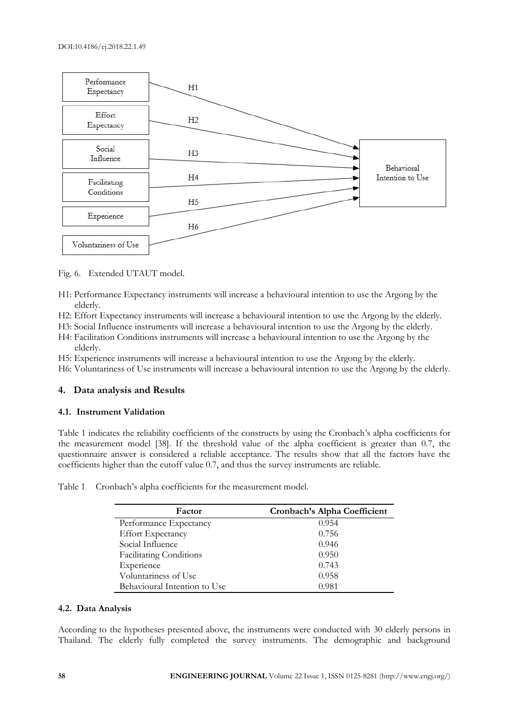

Fig. 6. Extended UTAUT model.

- H1: Performance Expectancy instruments will increase a behavioural intention to use the Argong by the elderly.
- H2: Effort Expectancy instruments will increase a behavioural intention to use the Argong by the elderly.
- H3: Social Influence instruments will increase a behavioural intention to use the Argong by the elderly.
- H4: Facilitation Conditions instruments will increase a behavioural intention to use the Argong by the elderly.
- H5: Experience instruments will increase a behavioural intention to use the Argong by the elderly.
- H6: Voluntariness of Use instruments will increase a behavioural intention to use the Argong by the elderly.

## **4. Data analysis and Results**

#### **4.1. Instrument Validation**

Table 1 indicates the reliability coefficients of the constructs by using the Cronbach's alpha coefficients for the measurement model [38]. If the threshold value of the alpha coefficient is greater than 0.7, the questionnaire answer is considered a reliable acceptance. The results show that all the factors have the coefficients higher than the cutoff value 0.7, and thus the survey instruments are reliable.

| Factor                         | Cronbach's Alpha Coefficient |
|--------------------------------|------------------------------|
| Performance Expectancy         | 0.954                        |
| <b>Effort Expectancy</b>       | 0.756                        |
| Social Influence               | 0.946                        |
| <b>Facilitating Conditions</b> | 0.950                        |
| Experience                     | 0.743                        |
| Voluntariness of Use           | 0.958                        |

Behavioural Intention to Use 0.981

Table 1. Cronbach's alpha coefficients for the measurement model.

## **4.2. Data Analysis**

According to the hypotheses presented above, the instruments were conducted with 30 elderly persons in Thailand. The elderly fully completed the survey instruments. The demographic and background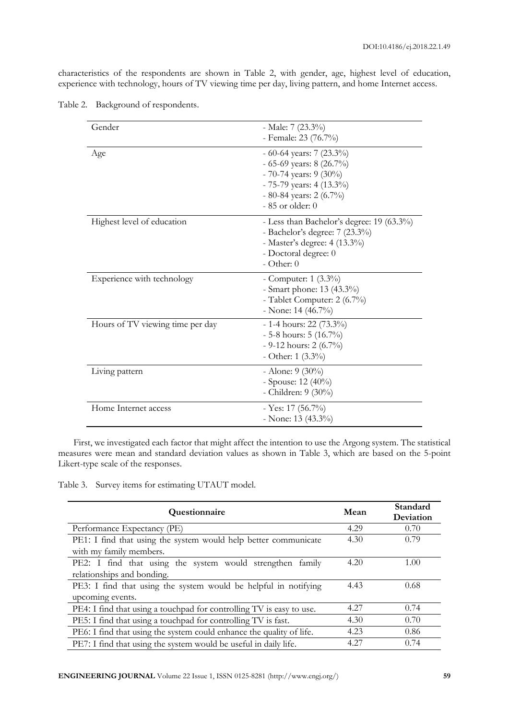characteristics of the respondents are shown in Table 2, with gender, age, highest level of education, experience with technology, hours of TV viewing time per day, living pattern, and home Internet access.

| Gender                           | - Male: $7(23.3\%)$<br>- Female: 23 (76.7%)                                                                                                                     |
|----------------------------------|-----------------------------------------------------------------------------------------------------------------------------------------------------------------|
| Age                              | $-60-64$ years: 7 (23.3%)<br>$-65-69$ years: 8 (26.7%)<br>$-70-74$ years: 9 (30%)<br>$-75-79$ years: 4 (13.3%)<br>$-80-84$ years: 2 (6.7%)<br>$-85$ or older: 0 |
| Highest level of education       | - Less than Bachelor's degree: $19(63.3\%)$<br>- Bachelor's degree: $7(23.3\%)$<br>- Master's degree: 4 (13.3%)<br>- Doctoral degree: 0<br>$-$ Other: $0$       |
| Experience with technology       | - Computer: $1 (3.3\%)$<br>- Smart phone: 13 (43.3%)<br>- Tablet Computer: 2 (6.7%)<br>- None: $14(46.7\%)$                                                     |
| Hours of TV viewing time per day | $-1-4$ hours: 22 (73.3%)<br>$-5-8$ hours: $5(16.7\%)$<br>$-9-12$ hours: 2 (6.7%)<br>- Other: $1(3.3\%)$                                                         |
| Living pattern                   | - Alone: $9(30\%)$<br>- Spouse: 12 (40%)<br>- Children: 9 (30%)                                                                                                 |
| Home Internet access             | - Yes: $17(56.7\%)$<br>- None: $13(43.3\%)$                                                                                                                     |

Table 2. Background of respondents.

First, we investigated each factor that might affect the intention to use the Argong system. The statistical measures were mean and standard deviation values as shown in Table 3, which are based on the 5-point Likert-type scale of the responses.

Table 3. Survey items for estimating UTAUT model.

| Questionnaire                                                        | Mean | Standard<br>Deviation |
|----------------------------------------------------------------------|------|-----------------------|
| Performance Expectancy (PE)                                          | 4.29 | 0.70                  |
| PE1: I find that using the system would help better communicate      | 4.30 | 0.79                  |
| with my family members.                                              |      |                       |
| PE2: I find that using the system would strengthen family            | 4.20 | 1.00                  |
| relationships and bonding.                                           |      |                       |
| PE3: I find that using the system would be helpful in notifying      | 4.43 | 0.68                  |
| upcoming events.                                                     |      |                       |
| PE4: I find that using a touchpad for controlling TV is easy to use. | 4.27 | 0.74                  |
| PE5: I find that using a touchpad for controlling TV is fast.        | 4.30 | 0.70                  |
| PE6: I find that using the system could enhance the quality of life. | 4.23 | 0.86                  |
| PE7: I find that using the system would be useful in daily life.     | 4.27 | 0.74                  |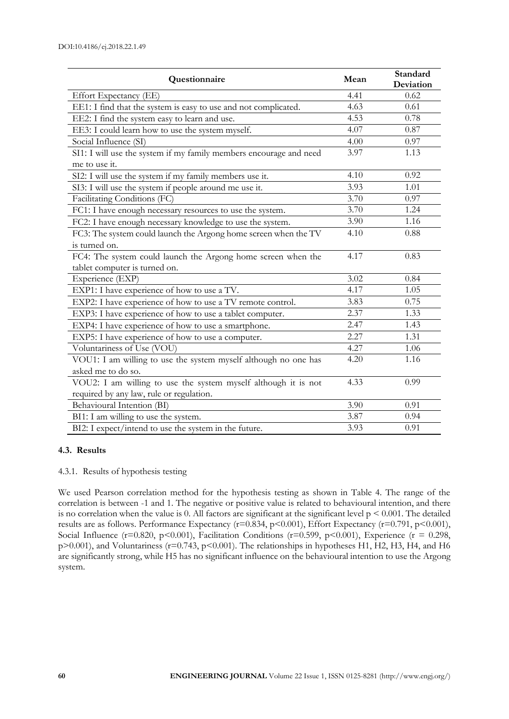| Questionnaire                                                      | Mean | Standard<br>Deviation |
|--------------------------------------------------------------------|------|-----------------------|
| Effort Expectancy (EE)                                             | 4.41 | 0.62                  |
| EE1: I find that the system is easy to use and not complicated.    | 4.63 | 0.61                  |
| EE2: I find the system easy to learn and use.                      | 4.53 | 0.78                  |
| EE3: I could learn how to use the system myself.                   | 4.07 | 0.87                  |
| Social Influence (SI)                                              | 4.00 | $0.97\,$              |
| SI1: I will use the system if my family members encourage and need | 3.97 | 1.13                  |
| me to use it.                                                      |      |                       |
| SI2: I will use the system if my family members use it.            | 4.10 | 0.92                  |
| SI3: I will use the system if people around me use it.             | 3.93 | 1.01                  |
| Facilitating Conditions (FC)                                       | 3.70 | 0.97                  |
| FC1: I have enough necessary resources to use the system.          | 3.70 | 1.24                  |
| FC2: I have enough necessary knowledge to use the system.          | 3.90 | 1.16                  |
| FC3: The system could launch the Argong home screen when the TV    | 4.10 | 0.88                  |
| is turned on.                                                      |      |                       |
| FC4: The system could launch the Argong home screen when the       | 4.17 | 0.83                  |
| tablet computer is turned on.                                      |      |                       |
| Experience (EXP)                                                   | 3.02 | 0.84                  |
| EXP1: I have experience of how to use a TV.                        | 4.17 | 1.05                  |
| EXP2: I have experience of how to use a TV remote control.         | 3.83 | 0.75                  |
| EXP3: I have experience of how to use a tablet computer.           | 2.37 | 1.33                  |
| EXP4: I have experience of how to use a smartphone.                | 2.47 | 1.43                  |
| EXP5: I have experience of how to use a computer.                  | 2.27 | 1.31                  |
| Voluntariness of Use (VOU)                                         | 4.27 | 1.06                  |
| VOU1: I am willing to use the system myself although no one has    | 4.20 | 1.16                  |
| asked me to do so.                                                 |      |                       |
| VOU2: I am willing to use the system myself although it is not     | 4.33 | 0.99                  |
| required by any law, rule or regulation.                           |      |                       |
| Behavioural Intention (BI)                                         | 3.90 | 0.91                  |
| BI1: I am willing to use the system.                               | 3.87 | 0.94                  |
| BI2: I expect/intend to use the system in the future.              | 3.93 | 0.91                  |

## **4.3. Results**

#### 4.3.1. Results of hypothesis testing

We used Pearson correlation method for the hypothesis testing as shown in Table 4. The range of the correlation is between -1 and 1. The negative or positive value is related to behavioural intention, and there is no correlation when the value is 0. All factors are significant at the significant level  $p \le 0.001$ . The detailed results are as follows. Performance Expectancy (r=0.834, p<0.001), Effort Expectancy (r=0.791, p<0.001), Social Influence ( $r=0.820$ ,  $p<0.001$ ), Facilitation Conditions ( $r=0.599$ ,  $p<0.001$ ), Experience ( $r=0.298$ , p>0.001), and Voluntariness (r=0.743, p<0.001). The relationships in hypotheses H1, H2, H3, H4, and H6 are significantly strong, while H5 has no significant influence on the behavioural intention to use the Argong system.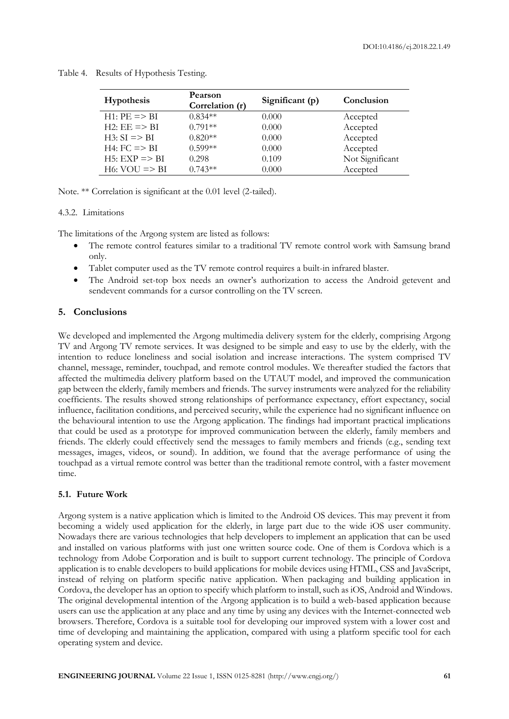| <b>Hypothesis</b>         | Pearson<br>Correlation (r) | Significant (p) | Conclusion      |
|---------------------------|----------------------------|-----------------|-----------------|
| $H1:$ PE $\Rightarrow$ BI | $0.834**$                  | 0.000           | Accepted        |
| $H2: EE = > BI$           | $0.791**$                  | 0.000           | Accepted        |
| $H3: SI \equiv > BI$      | $0.820**$                  | 0.000           | Accepted        |
| $H4:FC \Rightarrow BI$    | $0.599**$                  | 0.000           | Accepted        |
| $H5: EXP \implies BI$     | 0.298                      | 0.109           | Not Significant |
| $H6: VOU \Rightarrow BI$  | $0.743**$                  | 0.000           | Accepted        |

Table 4. Results of Hypothesis Testing.

Note. \*\* Correlation is significant at the 0.01 level (2-tailed).

### 4.3.2. Limitations

The limitations of the Argong system are listed as follows:

- The remote control features similar to a traditional TV remote control work with Samsung brand only.
- Tablet computer used as the TV remote control requires a built-in infrared blaster.
- The Android set-top box needs an owner's authorization to access the Android getevent and sendevent commands for a cursor controlling on the TV screen.

## **5. Conclusions**

We developed and implemented the Argong multimedia delivery system for the elderly, comprising Argong TV and Argong TV remote services. It was designed to be simple and easy to use by the elderly, with the intention to reduce loneliness and social isolation and increase interactions. The system comprised TV channel, message, reminder, touchpad, and remote control modules. We thereafter studied the factors that affected the multimedia delivery platform based on the UTAUT model, and improved the communication gap between the elderly, family members and friends. The survey instruments were analyzed for the reliability coefficients. The results showed strong relationships of performance expectancy, effort expectancy, social influence, facilitation conditions, and perceived security, while the experience had no significant influence on the behavioural intention to use the Argong application. The findings had important practical implications that could be used as a prototype for improved communication between the elderly, family members and friends. The elderly could effectively send the messages to family members and friends (e.g., sending text messages, images, videos, or sound). In addition, we found that the average performance of using the touchpad as a virtual remote control was better than the traditional remote control, with a faster movement time.

## **5.1. Future Work**

Argong system is a native application which is limited to the Android OS devices. This may prevent it from becoming a widely used application for the elderly, in large part due to the wide iOS user community. Nowadays there are various technologies that help developers to implement an application that can be used and installed on various platforms with just one written source code. One of them is Cordova which is a technology from Adobe Corporation and is built to support current technology. The principle of Cordova application is to enable developers to build applications for mobile devices using HTML, CSS and JavaScript, instead of relying on platform specific native application. When packaging and building application in Cordova, the developer has an option to specify which platform to install, such as iOS, Android and Windows. The original developmental intention of the Argong application is to build a web-based application because users can use the application at any place and any time by using any devices with the Internet-connected web browsers. Therefore, Cordova is a suitable tool for developing our improved system with a lower cost and time of developing and maintaining the application, compared with using a platform specific tool for each operating system and device.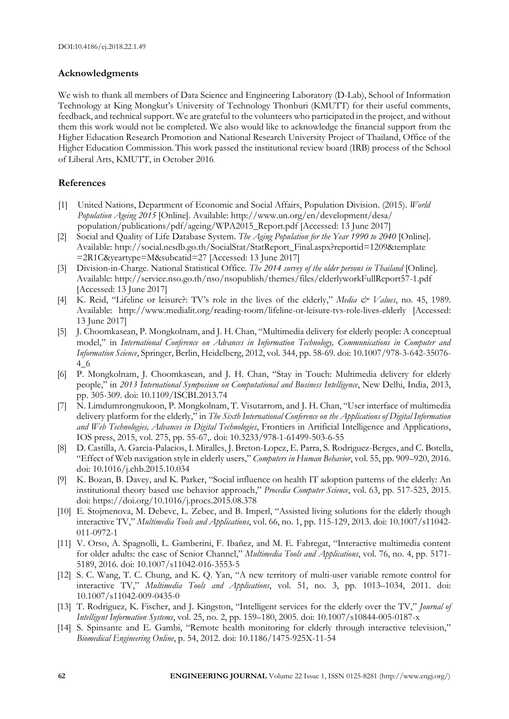## **Acknowledgments**

We wish to thank all members of Data Science and Engineering Laboratory (D-Lab), School of Information Technology at King Mongkut's University of Technology Thonburi (KMUTT) for their useful comments, feedback, and technical support. We are grateful to the volunteers who participated in the project, and without them this work would not be completed. We also would like to acknowledge the financial support from the Higher Education Research Promotion and National Research University Project of Thailand, Office of the Higher Education Commission. This work passed the institutional review board (IRB) process of the School of Liberal Arts, KMUTT, in October 2016.

## **References**

- [1] United Nations, Department of Economic and Social Affairs, Population Division. (2015). *World Population Ageing 2015* [Online]. Available: http://www.un.org/en/development/desa/ population/publications/pdf/ageing/WPA2015\_Report.pdf [Accessed: 13 June 2017]
- [2] Social and Quality of Life Database System. *The Aging Population for the Year 1990 to 2040* [Online]. Available: http://social.nesdb.go.th/SocialStat/StatReport\_Final.aspx?reportid=1209&template =2R1C&yeartype=M&subcatid=27 [Accessed: 13 June 2017]
- [3] Division-in-Charge. National Statistical Office. *The 2014 survey of the older persons in Thailand* [Online]. Available: http://service.nso.go.th/nso/nsopublish/themes/files/elderlyworkFullReport57-1.pdf [Accessed: 13 June 2017]
- [4] K. Reid, "Lifeline or leisure?: TV's role in the lives of the elderly," *Media & Values*, no. 45, 1989. Available: http://www.medialit.org/reading-room/lifeline-or-leisure-tvs-role-lives-elderly [Accessed: 13 June 2017]
- [5] J. Choomkasean, P. Mongkolnam, and J. H. Chan, "Multimedia delivery for elderly people: A conceptual model," in *International Conference on Advances in Information Technology, Communications in Computer and Information Science*, Springer, Berlin, Heidelberg, 2012, vol. 344, pp. 58-69. doi: 10.1007/978-3-642-35076- 4\_6
- [6] P. Mongkolnam, J. Choomkasean, and J. H. Chan, "Stay in Touch: Multimedia delivery for elderly people," in *2013 International Symposium on Computational and Business Intelligence*, New Delhi, India, 2013, pp. 305-309. doi: 10.1109/ISCBI.2013.74
- [7] N. Limdumrongnukoon, P. Mongkolnam, T. Visutarrom, and J. H. Chan, "User interface of multimedia delivery platform for the elderly," in *The Sixth International Conference on the Applications of Digital Information and Web Technologies, Advances in Digital Technologies*, Frontiers in Artificial Intelligence and Applications, IOS press, 2015, vol. 275, pp. 55-67,. doi: 10.3233/978-1-61499-503-6-55
- [8] D. Castilla, A. Garcia-Palacios, I. Miralles, J. Breton-Lopez, E. Parra, S. Rodriguez-Berges, and C. Botella, "Effect of Web navigation style in elderly users," *Computers in Human Behavior*, vol. 55, pp. 909–920, 2016. doi: 10.1016/j.chb.2015.10.034
- [9] K. Bozan, B. Davey, and K. Parker, "Social influence on health IT adoption patterns of the elderly: An institutional theory based use behavior approach," *Procedia Computer Science*, vol. 63, pp. 517-523, 2015. doi: https://doi.org/10.1016/j.procs.2015.08.378
- [10] E. Stojmenova, M. Debevc, L. Zebec, and B. Imperl, "Assisted living solutions for the elderly though interactive TV," *Multimedia Tools and Applications*, vol. 66, no. 1, pp. 115-129, 2013. doi: 10.1007/s11042- 011-0972-1
- [11] V. Orso, A. Spagnolli, L. Gamberini, F. Ibañez, and M. E. Fabregat, "Interactive multimedia content for older adults: the case of Senior Channel," *Multimedia Tools and Applications*, vol. 76, no. 4, pp. 5171- 5189, 2016. doi: 10.1007/s11042-016-3553-5
- [12] S. C. Wang, T. C. Chung, and K. Q. Yan, "A new territory of multi-user variable remote control for interactive TV," *Multimedia Tools and Applications*, vol. 51, no. 3, pp. 1013–1034, 2011. doi: 10.1007/s11042-009-0435-0
- [13] T. Rodriguez, K. Fischer, and J. Kingston, "Intelligent services for the elderly over the TV," *Journal of Intelligent Information Systems*, vol. 25, no. 2, pp. 159–180, 2005. doi: 10.1007/s10844-005-0187-x
- [14] S. Spinsante and E. Gambi, "Remote health monitoring for elderly through interactive television," *Biomedical Engineering Online*, p. 54, 2012. doi: 10.1186/1475-925X-11-54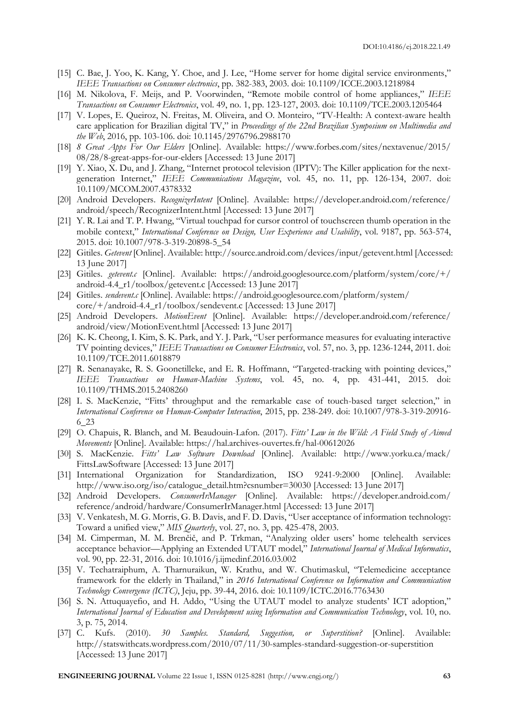- [15] C. Bae, J. Yoo, K. Kang, Y. Choe, and J. Lee, "Home server for home digital service environments," *IEEE Transactions on Consumer electronics*, pp. 382-383, 2003. doi: 10.1109/ICCE.2003.1218984
- [16] M. Nikolova, F. Meijs, and P. Voorwinden, "Remote mobile control of home appliances," *IEEE Transactions on Consumer Electronics*, vol. 49, no. 1, pp. 123-127, 2003. doi: 10.1109/TCE.2003.1205464
- [17] V. Lopes, E. Queiroz, N. Freitas, M. Oliveira, and O. Monteiro, "TV-Health: A context-aware health care application for Brazilian digital TV," in *Proceedings of the 22nd Brazilian Symposium on Multimedia and the Web*, 2016, pp. 103-106. doi: 10.1145/2976796.2988170
- [18] *8 Great Apps For Our Elders* [Online]. Available: https://www.forbes.com/sites/nextavenue/2015/ 08/28/8-great-apps-for-our-elders [Accessed: 13 June 2017]
- [19] Y. Xiao, X. Du, and J. Zhang, "Internet protocol television (IPTV): The Killer application for the nextgeneration Internet," *IEEE Communications Magazine*, vol. 45, no. 11, pp. 126-134, 2007. doi: 10.1109/MCOM.2007.4378332
- [20] Android Developers. *RecognizerIntent* [Online]. Available: https://developer.android.com/reference/ android/speech/RecognizerIntent.html [Accessed: 13 June 2017]
- [21] Y. R. Lai and T. P. Hwang, "Virtual touchpad for cursor control of touchscreen thumb operation in the mobile context," *International Conference on Design, User Experience and Usability*, vol. 9187, pp. 563-574, 2015. doi: 10.1007/978-3-319-20898-5\_54
- [22] Gitiles. *Getevent* [Online]. Available: http://source.android.com/devices/input/getevent.html [Accessed: 13 June 2017]
- [23] Gitiles. *getevent.c* [Online]. Available: https://android.googlesource.com/platform/system/core/+/ android-4.4\_r1/toolbox/getevent.c [Accessed: 13 June 2017]
- [24] Gitiles. *sendevent.c* [Online]. Available: https://android.googlesource.com/platform/system/ core/+/android-4.4\_r1/toolbox/sendevent.c [Accessed: 13 June 2017]
- [25] Android Developers. *MotionEvent* [Online]. Available: https://developer.android.com/reference/ android/view/MotionEvent.html [Accessed: 13 June 2017]
- [26] K. K. Cheong, I. Kim, S. K. Park, and Y. J. Park, "User performance measures for evaluating interactive TV pointing devices," *IEEE Transactions on Consumer Electronics*, vol. 57, no. 3, pp. 1236-1244, 2011. doi: 10.1109/TCE.2011.6018879
- [27] R. Senanayake, R. S. Goonetilleke, and E. R. Hoffmann, "Targeted-tracking with pointing devices," *IEEE Transactions on Human-Machine Systems*, vol. 45, no. 4, pp. 431-441, 2015. doi: 10.1109/THMS.2015.2408260
- [28] I. S. MacKenzie, "Fitts' throughput and the remarkable case of touch-based target selection," in *International Conference on Human-Computer Interaction*, 2015, pp. 238-249. doi: 10.1007/978-3-319-20916- 6\_23
- [29] O. Chapuis, R. Blanch, and M. Beaudouin-Lafon. (2017). *Fitts' Law in the Wild: A Field Study of Aimed Movements* [Online]. Available: https://hal.archives-ouvertes.fr/hal-00612026
- [30] S. MacKenzie. *Fitts' Law Software Download* [Online]. Available: http://www.yorku.ca/mack/ FittsLawSoftware [Accessed: 13 June 2017]
- [31] International Organization for Standardization, ISO 9241-9:2000 [Online]. Available: http://www.iso.org/iso/catalogue\_detail.htm?csnumber=30030 [Accessed: 13 June 2017]
- [32] Android Developers. *ConsumerIrManager* [Online]. Available: https://developer.android.com/ reference/android/hardware/ConsumerIrManager.html [Accessed: 13 June 2017]
- [33] V. Venkatesh, M. G. Morris, G. B. Davis, and F. D. Davis, "User acceptance of information technology: Toward a unified view," *MIS Quarterly*, vol. 27, no. 3, pp. 425-478, 2003.
- [34] M. Cimperman, M. M. Brenčič, and P. Trkman, "Analyzing older users' home telehealth services acceptance behavior—Applying an Extended UTAUT model," *International Journal of Medical Informatics*, vol. 90, pp. 22-31, 2016. doi: 10.1016/j.ijmedinf.2016.03.002
- [35] V. Techatraiphum, A. Tharnuraikun, W. Krathu, and W. Chutimaskul, "Telemedicine acceptance framework for the elderly in Thailand," in *2016 International Conference on Information and Communication Technology Convergence (ICTC)*, Jeju, pp. 39-44, 2016. doi: 10.1109/ICTC.2016.7763430
- [36] S. N. Attuquayefio, and H. Addo, "Using the UTAUT model to analyze students' ICT adoption," *International Journal of Education and Development using Information and Communication Technology*, vol. 10, no. 3, p. 75, 2014.
- [37] C. Kufs. (2010). *30 Samples. Standard, Suggestion, or Superstition?* [Online]. Available: http://statswithcats.wordpress.com/2010/07/11/30-samples-standard-suggestion-or-superstition [Accessed: 13 June 2017]

**ENGINEERING JOURNAL** Volume 22 Issue 1, ISSN 0125-8281 (http://www.engj.org/) **63**